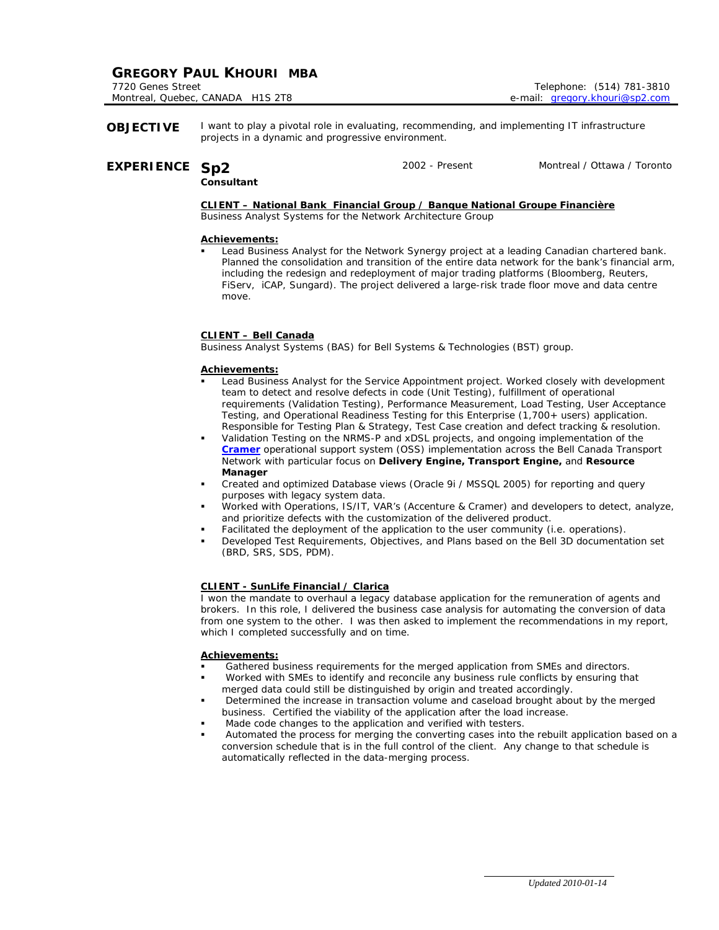## **GREGORY PAUL KHOURI MBA**

**OBJECTIVE** I want to play a pivotal role in evaluating, recommending, and implementing IT infrastructure projects in a dynamic and progressive environment.

## EXPERIENCE Sp2 2002 - Present Montreal / Ottawa / Toronto

## **Consultant**

**CLIENT – National Bank Financial Group / Banque National Groupe Financière** Business Analyst Systems for the Network Architecture Group

### **Achievements:**

 Lead Business Analyst for the Network Synergy project at a leading Canadian chartered bank. Planned the consolidation and transition of the entire data network for the bank's financial arm, including the redesign and redeployment of major trading platforms (Bloomberg, Reuters, FiServ, iCAP, Sungard). The project delivered a large-risk trade floor move and data centre move.

### **CLIENT – Bell Canada**

Business Analyst Systems (BAS) for Bell Systems & Technologies (BST) group.

### **Achievements:**

- Lead Business Analyst for the Service Appointment project. Worked closely with development team to detect and resolve defects in code (Unit Testing), fulfillment of operational requirements (Validation Testing), Performance Measurement, Load Testing, User Acceptance Testing, and Operational Readiness Testing for this Enterprise (1,700+ users) application. Responsible for Testing Plan & Strategy, Test Case creation and defect tracking & resolution.
- Validation Testing on the NRMS-P and xDSL projects, and ongoing implementation of the **[Cramer](http://www.cramer.com/)** operational support system (OSS) implementation across the Bell Canada Transport Network with particular focus on **Delivery Engine, Transport Engine,** and **Resource Manager**
- Created and optimized Database views (Oracle 9i / MSSQL 2005) for reporting and query purposes with legacy system data.
- Worked with Operations, IS/IT, VAR's (Accenture & Cramer) and developers to detect, analyze, and prioritize defects with the customization of the delivered product.
- Facilitated the deployment of the application to the user community (i.e. operations).
- Developed Test Requirements, Objectives, and Plans based on the Bell 3D documentation set (BRD, SRS, SDS, PDM).

#### **CLIENT - SunLife Financial / Clarica**

I won the mandate to overhaul a legacy database application for the remuneration of agents and brokers. In this role, I delivered the business case analysis for automating the conversion of data from one system to the other. I was then asked to implement the recommendations in my report, which I completed successfully and on time.

### **Achievements:**

- Gathered business requirements for the merged application from SMEs and directors.
- Worked with SMEs to identify and reconcile any business rule conflicts by ensuring that merged data could still be distinguished by origin and treated accordingly.
- Determined the increase in transaction volume and caseload brought about by the merged business. Certified the viability of the application after the load increase.
- Made code changes to the application and verified with testers.
- Automated the process for merging the converting cases into the rebuilt application based on a conversion schedule that is in the full control of the client. Any change to that schedule is automatically reflected in the data-merging process.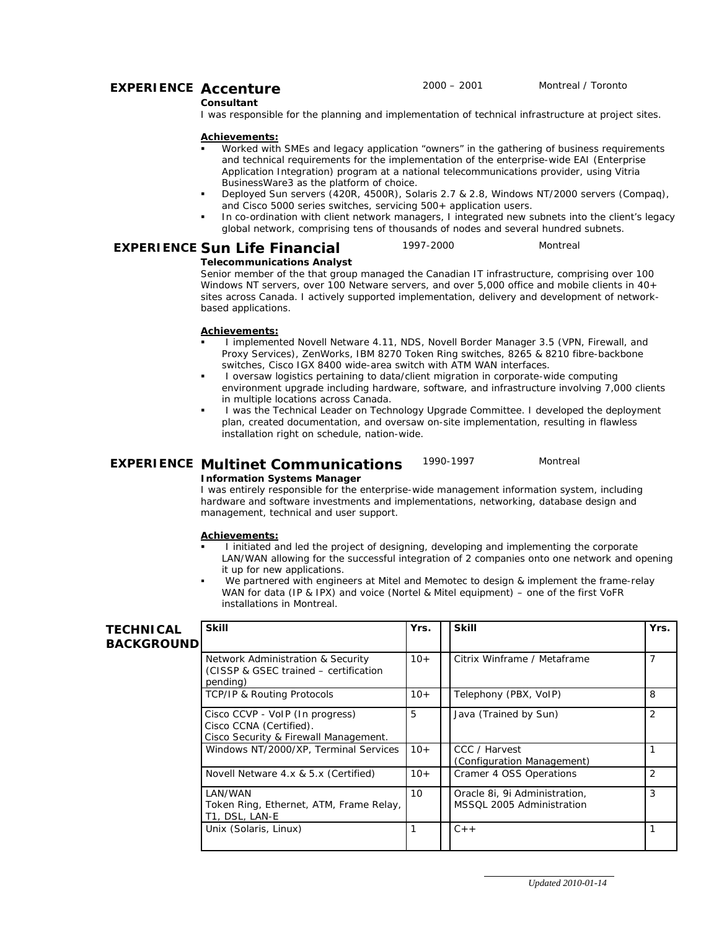## **EXPERIENCE Accenture** 2000 – 2001 Montreal / Toronto

#### **Consultant**

I was responsible for the planning and implementation of technical infrastructure at project sites.

#### **Achievements:**

- Worked with SMEs and legacy application "owners" in the gathering of business requirements and technical requirements for the implementation of the enterprise-wide EAI (Enterprise Application Integration) program at a national telecommunications provider, using Vitria BusinessWare3 as the platform of choice.
- Deployed Sun servers (420R, 4500R), Solaris 2.7 & 2.8, Windows NT/2000 servers (Compaq), and Cisco 5000 series switches, servicing 500+ application users.
- In co-ordination with client network managers, I integrated new subnets into the client's legacy global network, comprising tens of thousands of nodes and several hundred subnets.

## **EXPERIENCE Sun Life Financial** 1997-2000 Montreal

**Telecommunications Analyst** Senior member of the that group managed the Canadian IT infrastructure, comprising over 100 Windows NT servers, over 100 Netware servers, and over 5,000 office and mobile clients in 40+ sites across Canada. I actively supported implementation, delivery and development of networkbased applications.

#### **Achievements:**

- I implemented Novell Netware 4.11, NDS, Novell Border Manager 3.5 (VPN, Firewall, and Proxy Services), ZenWorks, IBM 8270 Token Ring switches, 8265 & 8210 fibre-backbone switches, Cisco IGX 8400 wide-area switch with ATM WAN interfaces.
- I oversaw logistics pertaining to data/client migration in corporate-wide computing environment upgrade including hardware, software, and infrastructure involving 7,000 clients in multiple locations across Canada.
- I was the Technical Leader on Technology Upgrade Committee. I developed the deployment plan, created documentation, and oversaw on-site implementation, resulting in flawless installation right on schedule, nation-wide.

## **EXPERIENCE Multinet Communications** 1990-1997 Montreal **Information Systems Manager**

I was entirely responsible for the enterprise-wide management information system, including hardware and software investments and implementations, networking, database design and management, technical and user support.

### **Achievements:**

- I initiated and led the project of designing, developing and implementing the corporate LAN/WAN allowing for the successful integration of 2 companies onto one network and opening it up for new applications.
- We partnered with engineers at Mitel and Memotec to design & implement the frame-relay WAN for data (IP & IPX) and voice (Nortel & Mitel equipment) – one of the first VoFR installations in Montreal.

| <b>TECHNICAL</b><br><b>BACKGROUND</b> | <b>Skill</b>                                                                                        | Yrs.  | <b>Skill</b>                                               | Yrs. |
|---------------------------------------|-----------------------------------------------------------------------------------------------------|-------|------------------------------------------------------------|------|
|                                       | Network Administration & Security<br>(CISSP & GSEC trained - certification<br>pending)              | $10+$ | Citrix Winframe / Metaframe                                | 7    |
|                                       | <b>TCP/IP &amp; Routing Protocols</b>                                                               | $10+$ | Telephony (PBX, VoIP)                                      | 8    |
|                                       | Cisco CCVP - VoIP (In progress)<br>Cisco CCNA (Certified).<br>Cisco Security & Firewall Management. | 5     | Java (Trained by Sun)                                      | 2    |
|                                       | Windows NT/2000/XP, Terminal Services                                                               | $10+$ | CCC / Harvest<br>(Configuration Management)                |      |
|                                       | Novell Netware 4.x & 5.x (Certified)                                                                | $10+$ | Cramer 4 OSS Operations                                    | 2    |
|                                       | LAN/WAN<br>Token Ring, Ethernet, ATM, Frame Relay,<br>T1, DSL, LAN-E                                | 10    | Oracle 8i, 9i Administration,<br>MSSQL 2005 Administration | 3    |
|                                       | Unix (Solaris, Linux)                                                                               |       | $C++$                                                      |      |